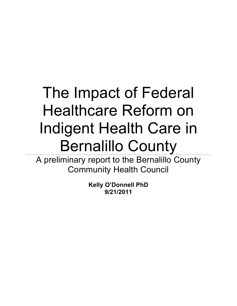# The Impact of Federal Healthcare Reform on Indigent Health Care in Bernalillo County

A preliminary report to the Bernalillo County Community Health Council

> **Kelly O'Donnell PhD 9/21/2011**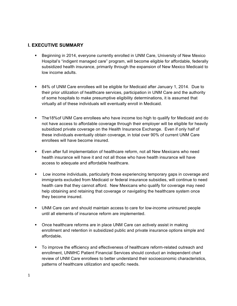# **I. EXECUTIVE SUMMARY**

- **EXECT** Beginning in 2014, everyone currently enrolled in UNM Care, University of New Mexico Hospital's "indigent managed care" program, will become eligible for affordable, federally subsidized health insurance, primarily through the expansion of New Mexico Medicaid to low income adults.
- 84% of UNM Care enrollees will be eligible for Medicaid after January 1, 2014. Due to their prior utilization of healthcare services, participation in UNM Care and the authority of some hospitals to make presumptive eligibility determinations, it is assumed that virtually all of these individuals will eventually enroll in Medicaid.
- ! The18%of UNM Care enrollees who have income too high to qualify for Medicaid and do not have access to affordable coverage through their employer will be eligible for heavily subsidized private coverage on the Health Insurance Exchange. Even if only half of these individuals eventually obtain coverage, in total over 90% of current UNM Care enrollees will have become insured.
- ! Even after full implementation of healthcare reform, not all New Mexicans who need health insurance will have it and not all those who have health insurance will have access to adequate and affordable healthcare.
- ! Low income individuals, particularly those experiencing temporary gaps in coverage and immigrants excluded from Medicaid or federal insurance subsidies, will continue to need health care that they cannot afford. New Mexicans who qualify for coverage may need help obtaining and retaining that coverage or navigating the healthcare system once they become insured.
- ! UNM Care can and should maintain access to care for low-income uninsured people until all elements of insurance reform are implemented.
- ! Once healthcare reforms are in place UNM Care can actively assist in making enrollment and retention in subsidized public and private insurance options simple and affordable**.**
- ! To improve the efficiency and effectiveness of healthcare reform-related outreach and enrollment, UNMHC Patient Financial Services should conduct an independent chart review of UNM Care enrollees to better understand their socioeconomic characteristics, patterns of healthcare utilization and specific needs.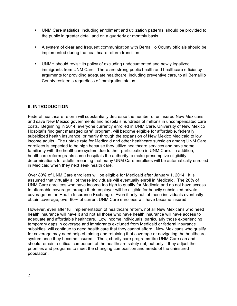- ! UNM Care statistics, including enrollment and utilization patterns, should be provided to the public in greater detail and on a quarterly or monthly basis.
- ! A system of clear and frequent communication with Bernalillo County officials should be implemented during the healthcare reform transition.
- ! UNMH should revisit its policy of excluding undocumented and newly legalized immigrants from UNM Care. There are strong public health and healthcare efficiency arguments for providing adequate healthcare, including preventive care, to all Bernalillo County residents regardless of immigration status.

# **II. INTRODUCTION**

Federal healthcare reform will substantially decrease the number of uninsured New Mexicans and save New Mexico governments and hospitals hundreds of millions in uncompensated care costs. Beginning in 2014, everyone currently enrolled in UNM Care, University of New Mexico Hospital's "indigent managed care" program, will become eligible for affordable, federally subsidized health insurance, primarily through the expansion of New Mexico Medicaid to low income adults. The uptake rate for Medicaid and other healthcare subsidies among UNM Care enrollees is expected to be high because they utilize healthcare services and have some familiarity with the healthcare system due to their participation in UNM Care. In addition, healthcare reform grants some hospitals the authority to make presumptive eligibility determinations for adults, meaning that many UNM Care enrollees will be automatically enrolled in Medicaid when they next seek health care.

Over 80% of UNM Care enrollees will be eligible for Medicaid after January 1, 2014. It is assumed that virtually all of these individuals will eventually enroll in Medicaid. The 20% of UNM Care enrollees who have income too high to qualify for Medicaid and do not have access to affordable coverage through their employer will be eligible for heavily subsidized private coverage on the Health Insurance Exchange. Even if only half of these individuals eventually obtain coverage, over 90% of current UNM Care enrollees will have become insured.

However, even after full implementation of healthcare reform, not all New Mexicans who need health insurance will have it and not all those who have health insurance will have access to adequate and affordable healthcare. Low income individuals, particularly those experiencing temporary gaps in coverage and immigrants excluded from Medicaid or federal insurance subsidies, will continue to need health care that they cannot afford. New Mexicans who qualify for coverage may need help obtaining and retaining that coverage or navigating the healthcare system once they become insured. Thus, charity care programs like UNM Care can and should remain a critical component of the healthcare safety net, but only if they adjust their priorities and programs to meet the changing composition and needs of the uninsured population.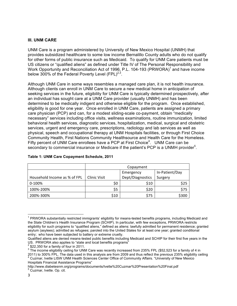#### **III. UNM CARE**

UNM Care is a program administered by University of New Mexico Hospital (UNMH) that provides subsidized healthcare to some low income Bernalillo County adults who do not qualify for other forms of public insurance such as Medicaid. To qualify for UNM Care patients must be US citizens or "qualified aliens" as defined under Title IV of The Personal Responsibility and Work Opportunity and Reconciliation Act of 1996, P.L. 104-193 (PRWORA)<sup>1</sup> and have income below 300% of the Federal Poverty Level  $(FPL)^{2,3}$ .

Although UNM Care in some ways resembles a managed care plan, it is not health insurance. Although clients can enroll in UNM Care to secure a new medical home in anticipation of seeking services in the future, eligibility for UNM Care is typically determined prospectively, after an individual has sought care at a UNM Care provider (usually UNMH) and has been determined to be medically indigent and otherwise eligible for the program. Once established, eligibility is good for one year. Once enrolled in UNM Care, patients are assigned a primary care physician (PCP) and can, for a modest sliding-scale co-payment, obtain "medically necessary" services including office visits, wellness examinations, routine immunization, limited behavioral health services, diagnostic services, hospitalization, medical, surgical and obstetric services, urgent and emergency care, prescriptions, radiology and lab services as well as physical, speech and occupational therapy at UNM Hospitals facilities, or through First Choice Community Health, First Nations Community Healthsource and Health Care for the Homeless. Fifty percent of UNM Care enrollees have a PCP at First Choice<sup>4</sup>. UNM Care can be secondary to commercial insurance or Medicare if the patient's PCP is a UNMH provider<sup>5</sup>.

|                              | Copayment           |      |                  |         |
|------------------------------|---------------------|------|------------------|---------|
|                              | Emergency           |      | In-Patient/Day   |         |
| Household Income as % of FPL | <b>Clinic Visit</b> |      | Dept/Diagnostics | Surgery |
| 0-100%                       |                     | \$0  | \$10             | \$25    |
| 100%-200%                    |                     | \$5  | \$20             | \$75    |
| 200%-300%                    |                     | \$10 | \$75             | \$300   |

#### **Table 1: UNM Care Copayment Schedule, 2011**

 $1$  PRWORA substantially restricted immigrants' eligibility for means-tested benefits programs, including Medicaid and the State Children's Health Insurance Program (SCHIP). In particular, with few exceptions, PRWORA restricts eligibility for such programs to "qualified aliens," defined as aliens: lawfully admitted for permanent residence; granted asylum (asylees); admitted as refugees; paroled into the United States for at least one year; granted conditional entry; who have been subjected to battery or extreme cruelty.

Qualified aliens are denied means-tested public benefits including Medicaid and SCHIP for their first five years in the US. PRWORA also applies to "state and local benefits programs"

 $\frac{2}{3}$  \$22,350 for a family of four in 2011.<br> $\frac{3}{3}$  The income eligibility ceiling for UNM Care was recently increased from 235% FPL (\$52,523 for a family of 4 in 2011) to 300% FPL. The data used in this analysis are from 2009 and thus reflect the previous 235% eligibility ceiling <sup>4</sup> Cuzmar, Ivette LISW UNM Health Sciences Center Office of Community Affairs. "University of New Mexico Hospitals Financial Assistance Programs"

http://www.diabetesnm.org/programs/documents/Ivette%20Cuzmar%20Presentation%20Final.pdf <sup>5</sup> Cuzmar, Ivette. Op. cit.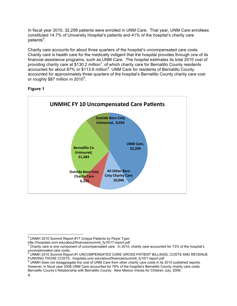In fiscal year 2010, 32,299 patients were enrolled in UNM Care. That year, UNM Care enrollees constituted 14.7% of University Hospital's patients and 41% of the hospital's charity care patients<sup>6</sup>.

Charity care accounts for about three quarters of the hospital's uncompensated care costs. Charity care is health care for the medically indigent that the hospital provides through one of its financial assistance programs, such as UNM Care. The hospital estimates its total 2010 cost of providing charity care at \$130.2 million<sup>7</sup>, of which charity care for Bernalillo County residents accounted for about 87% or \$113.6 million<sup>8</sup>. UNM Care for residents of Bernalillo County accounted for approximately three quarters of the hospital's Bernalillo County charity care cost or roughly \$87 million in 2010<sup>9</sup>.





 $\textsuperscript{6}$  UNMH 2010 Summit Report #17 Unique Patients by Payer Type<br>http://hospitals.unm.edu/about/finances/summit\_fy10/17-report.pdf

 $^7$  Charity care is one component of uncompensated care. In 2010, charity care accounted for 73% of the hospital's uncompensated care costs.

<sup>8</sup> UNMH 2010 Summit Report #1 UNCOMPENSATED CARE GROSS PATIENT BILLINGS, COSTS AND REVENUE

FUNDING THOSE COSTS. hospitals.unm.edu/about/finances/summit\_fy10/1-report.pdf<br><sup>9</sup> UNMH does not disaggregate the cost of UNM Care from other charity care costs in its 2010 published reports. However, in fiscal year 2008 UNM Care accounted for 76% of the hospital's Bernalillo County charity care costs. Bernalillo County's Relationship with Bernalillo County. New Mexico Voices for Children July, 2009.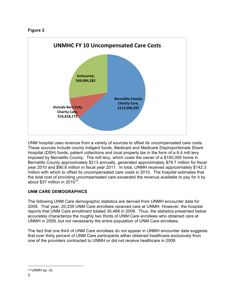## **Figure 2**



UNM hospital uses revenue from a variety of sources to offset its uncompensated care costs. These sources include county indigent funds, Medicaid and Medicare Disproportionate Share Hospital (DSH) funds, patient collections and local property tax in the form of a 6.4 mill levy imposed by Bernalillo County**.** The mill levy, which costs the owner of a \$100,000 home in Bernalillo County approximately \$213 annually, generated approximately \$79.7 million for fiscal year 2010 and \$90.6 million in fiscal year 2011. In total, UNMH received approximately \$142.3 million with which to offset its uncompensated care costs in 2010. The hospital estimates that the total cost of providing uncompensated care exceeded the revenue available to pay for it by about \$37 million in  $2010^{10}$ .

## **UNM CARE DEMOGRAPHICS**

The following UNM Care demographic statistics are derived from UNMH encounter data for 2009. That year, 20,239 UNM Care enrollees received care at UNMH. However, the hospital reports that UNM Care enrollment totaled 30,468 in 2009. Thus, the statistics presented below accurately characterize the roughly two thirds of UNM Care enrollees who obtained care at UNMH in 2009, but not necessarily the entire population of UNM Care enrollees.

The fact that one third of UNM Care enrollees do not appear in UNMH encounter data suggests that over thirty percent of UNM Care participants either obtained healthcare exclusively from one of the providers contracted to UNMH or did not receive healthcare in 2009.

!!!!!!!!!!!!!!!!!!!!!!!!!!!!!!!!!!!!!!!!!!!!!!!!!!!!!!!

<sup>10</sup> UNMH op. cit.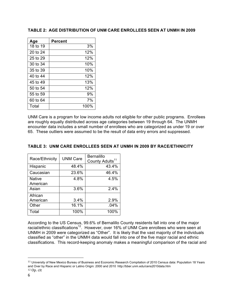| Age      | Percent |
|----------|---------|
| 18 to 19 | 3%      |
| 20 to 24 | 12%     |
| 25 to 29 | 12%     |
| 30 to 34 | 10%     |
| 35 to 39 | 10%     |
| 40 to 44 | 12%     |
| 45 to 49 | 13%     |
| 50 to 54 | 12%     |
| 55 to 59 | 9%      |
| 60 to 64 | 7%      |
| Total    | 100%    |

#### **TABLE 2: AGE DISTRIBUTION OF UNM CARE ENROLLEES SEEN AT UNMH IN 2009**

UNM Care is a program for low income adults not eligible for other public programs. Enrollees are roughly equally distributed across age categories between 19 through 64. The UNMH encounter data includes a small number of enrollees who are categorized as under 19 or over 65. These outliers were assumed to be the result of data entry errors and suppressed.

#### **TABLE 3: UNM CARE ENROLLEES SEEN AT UNMH IN 2009 BY RACE/ETHNICITY**

| Race/Ethnicity            | <b>UNM Care</b> | <b>Bernalillo</b><br>County Adults <sup>11</sup> |
|---------------------------|-----------------|--------------------------------------------------|
| Hispanic                  | 48.4%           | 43.4%                                            |
| Caucasian                 | 23.6%           | 46.4%                                            |
| <b>Native</b><br>American | 4.8%            | 4.5%                                             |
| Asian                     | 3.6%            | 2.4%                                             |
| African<br>American       | 3.4%            | 2.9%                                             |
| Other                     | 16.1%           | .04%                                             |
| Total                     | 100%            | 100%                                             |

According to the US Census, 99.6% of Bernalillo County residents fall into one of the major racial/ethnic classifications<sup>12</sup>. However, over 16% of UNM Care enrollees who were seen at UNMH in 2009 were categorized as "Other". It is likely that the vast majority of the individuals classified as "other" in the UNMH data would fall into one of the five major racial and ethnic classifications. This record-keeping anomaly makes a meaningful comparison of the racial and

!!!!!!!!!!!!!!!!!!!!!!!!!!!!!!!!!!!!!!!!!!!!!!!!!!!!!!!

<sup>11</sup> University of New Mexico Bureau of Business and Economic Research Compilation of 2010 Census data: Population 18 Years and Over by Race and Hispanic or Latino Origin: 2000 and 2010 http://bber.unm.edu/cens2010data.htm  $12$  Op. cit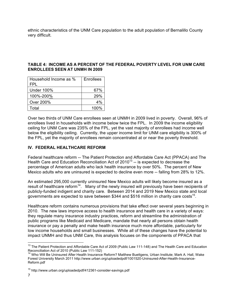ethnic characteristics of the UNM Care population to the adult population of Bernalillo County very difficult.

#### **TABLE 4: INCOME AS A PERCENT OF THE FEDERAL POVERTY LEVEL FOR UNM CARE ENROLLEES SEEN AT UNMH IN 2009**

| Household Income as %<br>FPI | Enrollees |
|------------------------------|-----------|
| <b>Under 100%</b>            | 67%       |
| 100%-200%                    | 29%       |
| Over 200%                    | 4%        |
| Total                        | $100\%$   |

Over two thirds of UNM Care enrollees seen at UNMH in 2009 lived in poverty. Overall, 96% of enrollees lived in households with income below twice the FPL. In 2009 the income eligibility ceiling for UNM Care was 235% of the FPL, yet the vast majority of enrollees had income well below the eligibility ceiling. Currently, the upper income limit for UNM care eligibility is 300% of the FPL, yet the majority of enrollees remain concentrated at or near the poverty threshold.

## **IV. FEDERAL HEALTHCARE REFORM**

Federal healthcare reform -- The Patient Protection and Affordable Care Act (PPACA) and The Health Care and Education Reconciliation Act of  $2010^{13}$  -- is expected to decrease the percentage of American adults who lack health insurance by over 50%. The percent of New Mexico adults who are uninsured is expected to decline even more -- falling from 28% to 12%.

An estimated 295,000 currently uninsured New Mexico adults will likely become insured as a result of healthcare reform<sup>14</sup>. Many of the newly insured will previously have been recipients of publicly-funded indigent and charity care. Between 2014 and 2019 New Mexico state and local governments are expected to save between \$344 and \$516 million in charity care costs<sup>15</sup>.

Healthcare reform contains numerous provisions that take effect over several years beginning in 2010. The new laws improve access to health insurance and health care in a variety of ways: they regulate many insurance industry practices, reform and streamline the administration of public programs like Medicaid and Medicare, mandate that nearly all persons obtain health insurance or pay a penalty and make health insurance much more affordable, particularly for low income households and small businesses. While all of these changes have the potential to impact UNMH and thus UNM Care, this analysis focuses on the components of PPACA that

<sup>&</sup>lt;sup>13</sup> The Patient Protection and Affordable Care Act of 2009 (Public Law 111-148) and The Health Care and Education Reconciliation Act of 2010 (Public Law 111-152)

 $14$  Who Will Be Uninsured After Health Insurance Reform? Matthew Buettgens, Urban Institute; Mark A. Hall, Wake Forest University March 2011 http://www.urban.org/uploadedpdf/1001520-Uninsured-After-Health-Insurance-Reform.pdf

<sup>15</sup> http://www.urban.org/uploadedpdf/412361-consider-savings.pdf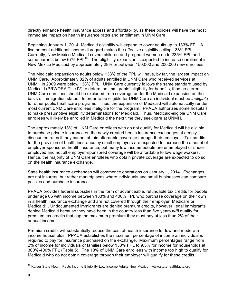directly enhance health insurance access and affordability, as these policies will have the most immediate impact on health insurance rates and enrollment in UNM Care.

Beginning January 1, 2014, Medicaid eligibility will expand to cover adults up to 133% FPL. A five percent additional income disregard makes the effective eligibility ceiling 138% FPL. Currently, New Mexico Medicaid covers children and pregnant women up to 235% FPL and some parents below  $67\%$  FPL<sup>16</sup>. The eligibility expansion is expected to increase enrollment in New Mexico Medicaid by approximately 28% or between 150,000 and 200,000 new enrollees.

The Medicaid expansion to adults below 138% of the FPL will have, by far, the largest impact on UNM Care. Approximately 82% of adults enrolled in UNM Care who received services at UNMH in 2009 were below 138% FPL. UNM Care currently follows the same standard used by Medicaid (PRWORA Title IV) to determine immigrants' eligibility for benefits, thus no current UNM Care enrollees should be excluded from coverage under the Medicaid expansion on the basis of immigration status. In order to be eligible for UNM Care an individual must be *ineligible*  for other public healthcare programs. Thus, the expansion of Medicaid will automatically render most current UNM Care enrollees ineligible for the program. PPACA authorizes some hospitals to make presumptive eligibility determinations for Medicaid. Thus, Medicaid-eligible UNM Care enrollees will likely be enrolled in Medicaid the next time they seek care at UNMH.

The approximately 18% of UNM Care enrollees who do not qualify for Medicaid will be eligible to purchase private insurance on the newly created health insurance exchanges at deeply discounted rates if they cannot obtain affordable coverage through their employer. Tax credits for the provision of health insurance by small employers are expected to increase the amount of employer-sponsored health insurance, but many low income people are unemployed or underemployed and not all employer-sponsored coverage will be affordable to low wage workers. Hence, the majority of UNM Care enrollees who obtain private coverage are expected to do so on the health insurance exchange.

State health insurance exchanges will commence operations on January 1, 2014. Exchanges are not insurers, but rather marketplaces where individuals and small businesses can compare policies and purchase insurance.

PPACA provides federal subsidies in the form of advanceable, refundable tax credits for people under age 65 with income between 133% and 400% FPL who purchase coverage on their own in a health insurance exchange and are not covered through their employer, Medicare or Medicaid<sup>17</sup>. Undocumented immigrants are denied premium credits, however, legal immigrants denied Medicaid because they have been in the country less than five years *will* qualify for premium tax credits that cap the maximum premium they must pay at less than 2% of their annual income.

Premium credits will substantially reduce the cost of health insurance for low and moderate income households. PPACA establishes the maximum percentage of income an individual is required to pay for insurance purchased on the exchange. Maximum percentages range from 2% of income for individuals or families below 133% FPL to 9.5% for income for households at 300%-400% FPL (Table 5). The 18% of UNM Care enrollees with income too high to qualify for Medicaid who do not obtain coverage through their employer will qualify for these credits.

<sup>&</sup>lt;sup>16</sup> Kaiser State Health Facts Income Eligibility-Low Income Adults-New Mexico. www.statehealthfacts.org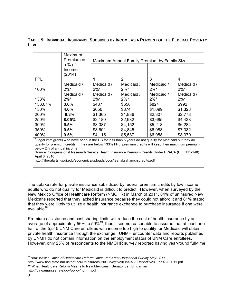#### **TABLE 5: INDIVIDUAL INSURANCE SUBSIDIES BY INCOME AS A PERCENT OF THE FEDERAL POVERTY LEVEL**

|                                                                                                          | Maximum<br>Premium as | Maximum Annual Family Premium by Family Size |            |            |            |  |
|----------------------------------------------------------------------------------------------------------|-----------------------|----------------------------------------------|------------|------------|------------|--|
|                                                                                                          | a % of<br>Income      |                                              |            |            |            |  |
|                                                                                                          | (2014)                |                                              |            |            |            |  |
| <b>FPL</b>                                                                                               |                       |                                              | 2          | 3          | 4          |  |
|                                                                                                          | Medicaid /            | Medicaid /                                   | Medicaid / | Medicaid / | Medicaid / |  |
| 100%                                                                                                     | $2\%^*$               | $2\%$ *                                      | $2\%^*$    | $2\%$ *    | $2\%$ *    |  |
|                                                                                                          | Medicaid /            | Medicaid /                                   | Medicaid / | Medicaid / | Medicaid / |  |
| 133%                                                                                                     | $2\%^*$               | $2\%$ *                                      | $2\%^*$    | $2\%$ *    | $2\%$ *    |  |
| 133.01%                                                                                                  | 3.0%                  | \$487                                        | \$656      | \$824      | \$992      |  |
| 150%                                                                                                     | 4.0%                  | \$650                                        | \$874      | \$1,099    | \$1,323    |  |
| 200%                                                                                                     | 6.3%                  | \$1,365                                      | \$1,836    | \$2,307    | \$2,778    |  |
| 250%                                                                                                     | 8.05%                 | \$2,180                                      | \$2,932    | \$3,685    | \$4,438    |  |
| 300%                                                                                                     | 9.5%                  | \$3,087                                      | \$4,152    | \$5,218    | \$6,284    |  |
| 350%                                                                                                     | 9.5%                  | \$3,601                                      | \$4,845    | \$6,088    | \$7,332    |  |
| 400%                                                                                                     | 9.5%                  | \$4,115                                      | \$5,537    | \$6,958    | \$8,379    |  |
| * Logal immigrants who have been in the UC for lose than E veare do not qualify for Medicaid but thou do |                       |                                              |            |            |            |  |

**\***Legal immigrants who have been in the US for less than 5 years do not qualify for Medicaid but they do qualify for premium credits. If they are below 133% FPL, premium credits will keep their maximum premium below 2% of annual income.

Source: Congressional Research Service Health Insurance Premium Credits Under PPACA (P.L. 111-148) April 6, 2010

http://liberalarts.iupui.edu/economics/uploads/docs/jeanabrahamcrscredits.pdf

The uptake rate for private insurance subsidized by federal premium credits by low income adults who do not qualify for Medicaid is difficult to predict. However, when surveyed by the New Mexico Office of Healthcare Reform (NMOHR) in March of 2011, 84% of uninsured New Mexicans reported that they lacked insurance because they could not afford it and 81% stated that they were likely to utilize a health insurance exchange to purchase insurance if one were  $a$ vailable $18$ .

Premium assistance and cost sharing limits will reduce the cost of health insurance by an average of approximately 56% to 59%<sup>19</sup>, thus it seems reasonable to assume that at least one half of the 5,545 UNM Care enrollees with income too high to qualify for Medicaid will obtain private health insurance through the exchange. UNMH encounter data and reports published by UNMH do not contain information on the employment status of UNM Care enrollees. However, only 25% of respondents to the NMOHR survey reported having year-round full-time

<sup>18</sup> New Mexico Office of Healthcare Reform Uninsured Adult Household Survey May 2011

http://www.hsd.state.nm.us/pdf/hcr/Uninsured%20Survey%20Final%20Report%20June%202011.pdf <sup>19</sup> What Healthcare Reform Means to New Mexicans. Senator Jeff Bingaman http://bingaman.senate.gov/policy/hcrnm.pdf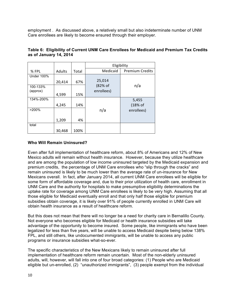employment . As discussed above, a relatively small but also indeterminate number of UNM Care enrollees are likely to become ensured through their employer.

|                   |        |       | Eligibility |                        |  |
|-------------------|--------|-------|-------------|------------------------|--|
| % FPL             | Adults | Total | Medicaid    | <b>Premium Credits</b> |  |
| <b>Under 100%</b> |        |       |             |                        |  |
|                   | 20,414 | 67%   | 25,014      |                        |  |
| 100-133%          |        |       | (82% of     | n/a                    |  |
| (approx)          | 4,599  | 15%   | enrollees)  |                        |  |
| 134%-200%         |        |       |             | 5,455                  |  |
|                   | 4,245  | 14%   |             | (18% of                |  |
| >200%             |        |       | n/a         | enrollees)             |  |
|                   | 1,209  | 4%    |             |                        |  |
| total             |        |       |             |                        |  |
|                   | 30,468 | 100%  |             |                        |  |

## **Table 6: Eligibility of Current UNM Care Enrollees for Medicaid and Premium Tax Credits as of January 14, 2014**

## **Who Will Remain Uninsured?**

Even after full implementation of healthcare reform, about 8% of Americans and 12% of New Mexico adults will remain without health insurance. However, because they utilize healthcare and are among the population of low income uninsured targeted by the Medicaid expansion and premium credits, the percentage of UNM Care enrollees who "slip through the cracks" and remain uninsured is likely to be much lower than the average rate of un-insurance for New Mexicans overall. In fact, after January 2014, all current UNM Care enrollees will be eligible for some form of affordable coverage and, due to their prior utilization of health care, enrollment in UNM Care and the authority for hospitals to make presumptive eligibility determinations the uptake rate for coverage among UNM Care enrollees is likely to be very high. Assuming that all those eligible for Medicaid eventually enroll and that only half those eligible for premium subsidies obtain coverage, it is likely over 91% of people currently enrolled in UNM Care will obtain health insurance as a result of healthcare reform.

But this does not mean that there will no longer be a need for charity care in Bernalillo County. Not everyone who becomes eligible for Medicaid or health insurance subsidies will take advantage of the opportunity to become insured. Some people, like immigrants who have been legalized for less than five years, will be unable to access Medicaid despite being below 138% FPL, and still others, like undocumented immigrants, will be unable to access any public programs or insurance subsidies what-so-ever.

The specific characteristics of the New Mexicans likely to remain uninsured after full implementation of healthcare reform remain uncertain. Most of the non-elderly uninsured adults, will, however, will fall into one of four broad categories: (1) People who are Medicaid eligible but un-enrolled, (2) "unauthorized immigrants", (3) people exempt from the individual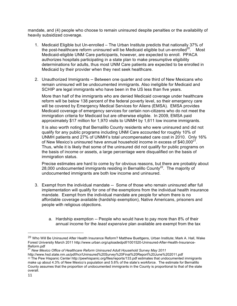mandate, and (4) people who choose to remain uninsured despite penalties or the availability of heavily subsidized coverage.

- 1. Medicaid Eligible but Un-enrolled The Urban Institute predicts that nationally 37% of the post-healthcare reform uninsured will be Medicaid eligible but un-enrolled<sup>20</sup>. Most Medicaid-eligible UNM Care participants, however, are expected to enroll. PPACA authorizes hospitals participating in a state plan to make presumptive eligibility determinations for adults, thus most UNM Care patients are expected to be enrolled in Medicaid by their provider when they next seek healthcare.
- 2. Unauthorized Immigrants Between one quarter and one third of New Mexicans who remain uninsured will be undocumented immigrants. Also ineligible for Medicaid and SCHIP are legal immigrants who have been in the US less than five years.

More than half of the immigrants who are denied Medicaid coverage under healthcare reform will be below 138 percent of the federal poverty level, so their emergency care will be covered by Emergency Medical Services for Aliens (EMSA). EMSA provides Medicaid coverage of emergency services for certain non-citizens who do not meet the immigration criteria for Medicaid but are otherwise eligible. In 2009, EMSA paid approximately \$17 million for 1,970 visits to UNMH by 1,611 low income immigrants.

It is also worth noting that Bernalillo County residents who were uninsured and did not qualify for any public programs including UNM Care accounted for roughly 10% of UNMH patients and 27% of UNMH's total uncompensated care cost in 2010. Only 16% of New Mexico's uninsured have annual household income in excess of \$40,000 $^{21}$ . Thus, while it is likely that some of the uninsured did not qualify for public programs on the basis of income or assets, a large percentage were disqualified on the basis of immigration status.

Precise estimates are hard to come by for obvious reasons, but there are probably about 28,000 undocumented immigrants residing in Bernalillo County<sup>22</sup>. The majority of undocumented immigrants are both low income and uninsured.

- 3. Exempt from the individual mandate -- Some of those who remain uninsured after full implementation will qualify for one of the exemptions from the individual health insurance mandate. Exempt from the individual mandate are people for whom there is no affordable coverage available (hardship exemption), Native Americans, prisoners and people with religious objections.
	- a. Hardship exemption -- People who would have to pay more than 8% of their annual income for the *least expensive* plan available are exempt from the tax

!!!!!!!!!!!!!!!!!!!!!!!!!!!!!!!!!!!!!!!!!!!!!!!!!!!!!!!

<sup>&</sup>lt;sup>20</sup> Who Will Be Uninsured After Health Insurance Reform? Matthew Buettgens, Urban Institute; Mark A. Hall, Wake Forest University March 2011 http://www.urban.org/uploadedpdf/1001520-Uninsured-After-Health-Insurance-Reform.pdf

<sup>21</sup> *New Mexico Office of Healthcare Reform Uninsured Adult Household Survey May 2011* 

http://www.hsd.state.nm.us/pdf/hcr/Uninsured%20Survey%20Final%20Report%20June%202011.pdf <sup>22</sup> The Pew Hispanic Center http://pewhispanic.org/files/reports/133.pdf estimates that undocumented immigrants make up about 4.3% of New Mexico's population and 5.6% of the state's workforce. The estimate for Bernalillo County assumes that the proportion of undocumented immigrants in the County is proportional to that of the state overall.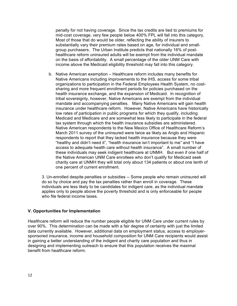penalty for not having coverage. Since the tax credits are tied to premiums for mid-cost coverage, very few people below 400% FPL will fall into this category. Most of those that do would be older, reflecting the ability of insurers to substantially vary their premium rates based on age, for individual and smallgroup purchasers. The Urban Institute predicts that nationally 16% of posthealthcare reform uninsured adults will be exempt from the individual mandate on the basis of affordability. A small percentage of the older UNM Care with income above the Medicaid eligibility threshold may fall into this category.

b. Native American exemption – Healthcare reform includes many benefits for Native Americans including improvements to the IHS, access for some tribal organizations to participation in the Federal Employees Health System, no costsharing and more frequent enrollment periods for policies purchased on the health insurance exchange, and the expansion of Medicaid. In recognition of tribal sovereignty, however, Native Americans are exempt from the individual mandate and accompanying penalties. Many Native Americans will gain health insurance under healthcare reform. However, Native Americans have historically low rates of participation in public programs for which they qualify, including Medicaid and Medicare and are somewhat less likely to participate in the federal tax system through which the health insurance subsidies are administered. Native American respondents to the New Mexico Office of Healthcare Reform's March 2011 survey of the uninsured were twice as likely as Anglo and Hispanic respondents to report that they lacked health insurance because they were "healthy and didn't need it", "health insurance isn't important to me" and "I have access to adequate health care without health insurance". A small number of these individuals may seek indigent healthcare at UNMH. But even if one half of the Native American UNM Care enrollees who don't qualify for Medicaid seek charity care at UNMH they will total only about 134 patients or about one tenth of one percent of current enrollment.

3. Un-enrolled despite penalties or subsidies -- Some people who remain uninsured will do so by choice and pay the tax penalties rather than enroll in coverage. These individuals are less likely to be candidates for indigent care, as the individual mandate applies only to people above the poverty threshold and is only enforceable for people who file federal income taxes.

## **V. Opportunities for Implementation**

Healthcare reform will reduce the number people eligible for UNM Care under current rules by over 90%. This determination can be made with a fair degree of certainty with just the limited data currently available. However, additional data on employment status, access to employersponsored insurance, income and household composition for UNM Care recipients would assist in gaining a better understanding of the indigent and charity care population and thus in designing and implementing outreach to ensure that this population receives the maximal benefit from healthcare reform.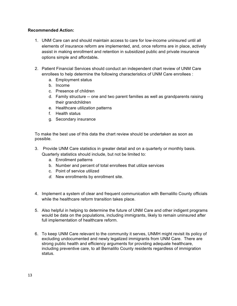## **Recommended Action:**

- 1. UNM Care can and should maintain access to care for low-income uninsured until all elements of insurance reform are implemented, and, once reforms are in place, actively assist in making enrollment and retention in subsidized public and private insurance options simple and affordable**.**
- 2. Patient Financial Services should conduct an independent chart review of UNM Care enrollees to help determine the following characteristics of UNM Care enrollees :
	- a. Employment status
	- b. Income
	- c. Presence of children
	- d. Family structure -- one and two parent families as well as grandparents raising their grandchildren
	- e. Healthcare utilization patterns
	- f. Health status
	- g. Secondary insurance

To make the best use of this data the chart review should be undertaken as soon as possible.

- 3. Provide UNM Care statistics in greater detail and on a quarterly or monthly basis. Quarterly statistics should include, but not be limited to:
	- a. Enrollment patterns
	- b. Number and percent of total enrollees that utilize services
	- c. Point of service utilized
	- *d.* New enrollments by enrollment site.
- 4. Implement a system of clear and frequent communication with Bernalillo County officials while the healthcare reform transition takes place.
- 5. Also helpful in helping to determine the future of UNM Care and other indigent programs would be data on the populations, including immigrants, likely to remain uninsured after full implementation of healthcare reform.
- 6. To keep UNM Care relevant to the community it serves, UNMH might revisit its policy of excluding undocumented and newly legalized immigrants from UNM Care. There are strong public health and efficiency arguments for providing adequate healthcare, including preventive care, to all Bernalillo County residents regardless of immigration status.